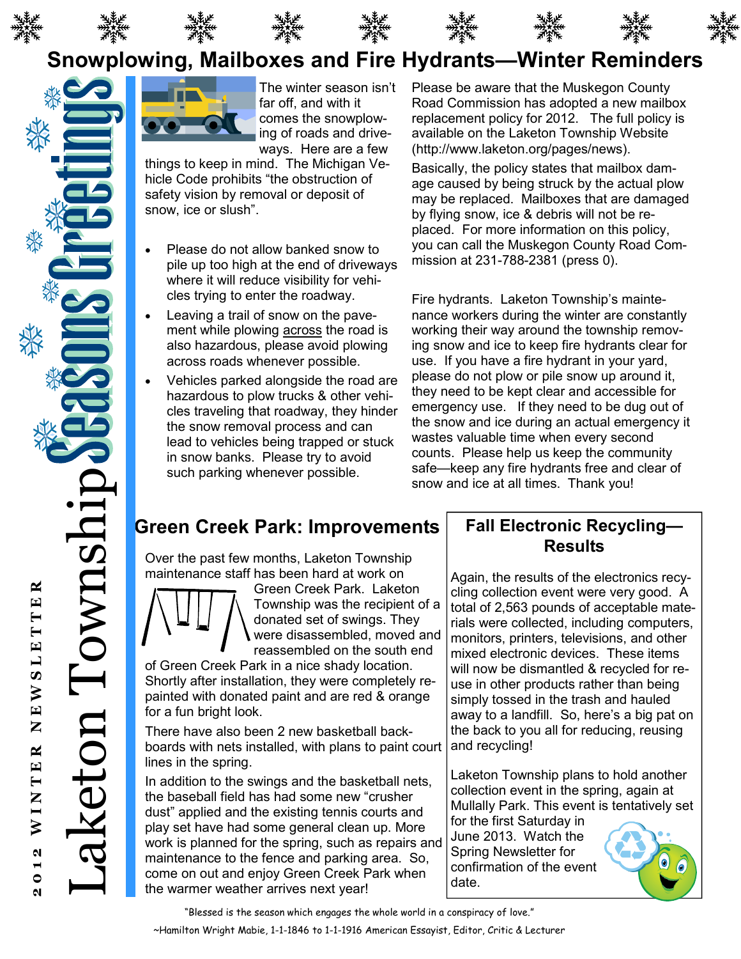









# Snowplowing, Mailboxes and Fire Hydrants—Winter Reminders



The winter season isn't far off, and with it comes the snowplowing of roads and driveways. Here are a few

things to keep in mind. The Michigan Vehicle Code prohibits "the obstruction of safety vision by removal or deposit of snow, ice or slush".

- Please do not allow banked snow to pile up too high at the end of driveways where it will reduce visibility for vehicles trying to enter the roadway.
- Leaving a trail of snow on the pavement while plowing **across** the road is also hazardous, please avoid plowing across roads whenever possible.
- Vehicles parked alongside the road are hazardous to plow trucks & other vehicles traveling that roadway, they hinder the snow removal process and can lead to vehicles being trapped or stuck in snow banks. Please try to avoid such parking whenever possible.

Please be aware that the Muskegon County Road Commission has adopted a new mailbox replacement policy for 2012. The full policy is available on the Laketon Township Website (http://www.laketon.org/pages/news).

Basically, the policy states that mailbox damage caused by being struck by the actual plow may be replaced. Mailboxes that are damaged by flying snow, ice & debris will not be replaced. For more information on this policy, you can call the Muskegon County Road Commission at 231-788-2381 (press 0).

Fire hydrants. Laketon Township's maintenance workers during the winter are constantly working their way around the township removing snow and ice to keep fire hydrants clear for use. If you have a fire hydrant in your yard, please do not plow or pile snow up around it, they need to be kept clear and accessible for emergency use. If they need to be dug out of the snow and ice during an actual emergency it wastes valuable time when every second counts. Please help us keep the community safe—keep any fire hydrants free and clear of snow and ice at all times. Thank you!

## Green Creek Park: Improvements

Over the past few months, Laketon Township maintenance staff has been hard at work on



Green Creek Park. Laketon Township was the recipient of a donated set of swings. They were disassembled, moved and reassembled on the south end

of Green Creek Park in a nice shady location. Shortly after installation, they were completely repainted with donated paint and are red & orange for a fun bright look.

There have also been 2 new basketball backboards with nets installed, with plans to paint court lines in the spring.

In addition to the swings and the basketball nets, the baseball field has had some new "crusher dust" applied and the existing tennis courts and play set have had some general clean up. More work is planned for the spring, such as repairs and maintenance to the fence and parking area. So, come on out and enjoy Green Creek Park when the warmer weather arrives next year!

### Fall Electronic Recycling— **Results**

Again, the results of the electronics recycling collection event were very good. A total of 2,563 pounds of acceptable materials were collected, including computers, monitors, printers, televisions, and other mixed electronic devices. These items will now be dismantled & recycled for reuse in other products rather than being simply tossed in the trash and hauled away to a landfill. So, here's a big pat on the back to you all for reducing, reusing and recycling!

Laketon Township plans to hold another collection event in the spring, again at Mullally Park. This event is tentatively set

for the first Saturday in June 2013. Watch the Spring Newsletter for confirmation of the event date.



"Blessed is the season which engages the whole world in a conspiracy of love."

≃

Laketon Township

keton Towns